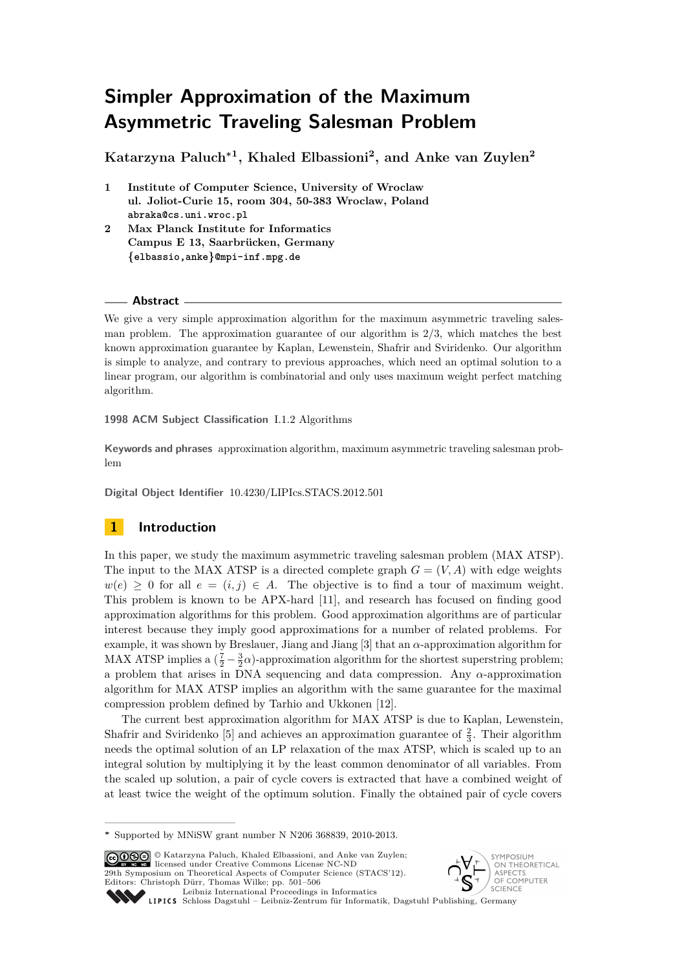# **Simpler Approximation of the Maximum Asymmetric Traveling Salesman Problem**

**Katarzyna Paluch<sup>∗</sup><sup>1</sup> , Khaled Elbassioni<sup>2</sup> , and Anke van Zuylen<sup>2</sup>**

- **1 Institute of Computer Science, University of Wroclaw ul. Joliot-Curie 15, room 304, 50-383 Wroclaw, Poland abraka@cs.uni.wroc.pl**
- **2 Max Planck Institute for Informatics Campus E 13, Saarbrücken, Germany {elbassio,anke}@mpi-inf.mpg.de**

## **Abstract**

We give a very simple approximation algorithm for the maximum asymmetric traveling salesman problem. The approximation guarantee of our algorithm is 2/3, which matches the best known approximation guarantee by Kaplan, Lewenstein, Shafrir and Sviridenko. Our algorithm is simple to analyze, and contrary to previous approaches, which need an optimal solution to a linear program, our algorithm is combinatorial and only uses maximum weight perfect matching algorithm.

**1998 ACM Subject Classification** I.1.2 Algorithms

**Keywords and phrases** approximation algorithm, maximum asymmetric traveling salesman problem

**Digital Object Identifier** [10.4230/LIPIcs.STACS.2012.501](http://dx.doi.org/10.4230/LIPIcs.STACS.2012.501)

# **1 Introduction**

In this paper, we study the maximum asymmetric traveling salesman problem (MAX ATSP). The input to the MAX ATSP is a directed complete graph  $G = (V, A)$  with edge weights  $w(e) \geq 0$  for all  $e = (i, j) \in A$ . The objective is to find a tour of maximum weight. This problem is known to be APX-hard [\[11\]](#page-5-0), and research has focused on finding good approximation algorithms for this problem. Good approximation algorithms are of particular interest because they imply good approximations for a number of related problems. For example, it was shown by Breslauer, Jiang and Jiang [\[3\]](#page-5-1) that an *α*-approximation algorithm for MAX ATSP implies a  $(\frac{7}{2} - \frac{3}{2}\alpha)$ -approximation algorithm for the shortest superstring problem; a problem that arises in DNA sequencing and data compression. Any *α*-approximation algorithm for MAX ATSP implies an algorithm with the same guarantee for the maximal compression problem defined by Tarhio and Ukkonen [\[12\]](#page-5-2).

The current best approximation algorithm for MAX ATSP is due to Kaplan, Lewenstein, Shafrir and Sviridenko [\[5\]](#page-5-3) and achieves an approximation guarantee of  $\frac{2}{3}$ . Their algorithm needs the optimal solution of an LP relaxation of the max ATSP, which is scaled up to an integral solution by multiplying it by the least common denominator of all variables. From the scaled up solution, a pair of cycle covers is extracted that have a combined weight of at least twice the weight of the optimum solution. Finally the obtained pair of cycle covers

© Katarzyna Paluch, Khaled Elbassioni, and Anke van Zuylen; licensed under Creative Commons License NC-ND 29th Symposium on Theoretical Aspects of Computer Science (STACS'12). Editors: Christoph Dürr, Thomas Wilke; pp. 501[–506](#page-5-4) [Leibniz International Proceedings in Informatics](http://www.dagstuhl.de/lipics/)



Leibniz international Froceduries in missimosische Dagstuhl Publishing, Germany<br>LIPICS [Schloss Dagstuhl – Leibniz-Zentrum für Informatik, Dagstuhl Publishing, Germany](http://www.dagstuhl.de)

**<sup>∗</sup>** Supported by MNiSW grant number N N206 368839, 2010-2013.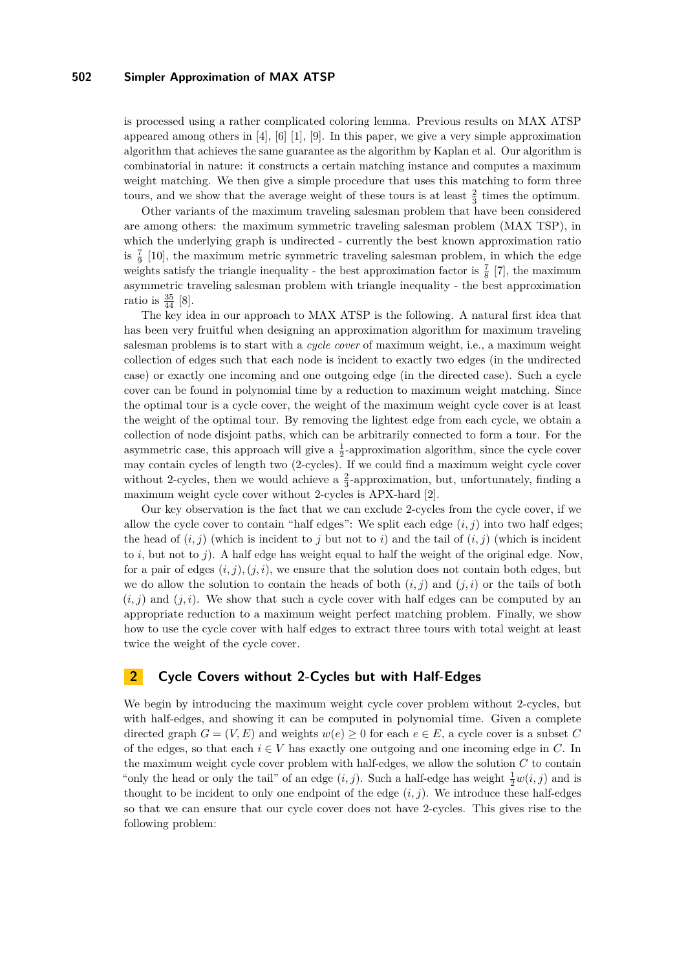#### **502 Simpler Approximation of MAX ATSP**

is processed using a rather complicated coloring lemma. Previous results on MAX ATSP appeared among others in [\[4\]](#page-5-5), [\[6\]](#page-5-6) [\[1\]](#page-5-7), [\[9\]](#page-5-8). In this paper, we give a very simple approximation algorithm that achieves the same guarantee as the algorithm by Kaplan et al. Our algorithm is combinatorial in nature: it constructs a certain matching instance and computes a maximum weight matching. We then give a simple procedure that uses this matching to form three tours, and we show that the average weight of these tours is at least  $\frac{2}{3}$  times the optimum.

Other variants of the maximum traveling salesman problem that have been considered are among others: the maximum symmetric traveling salesman problem (MAX TSP), in which the underlying graph is undirected - currently the best known approximation ratio is  $\frac{7}{9}$  [\[10\]](#page-5-9), the maximum metric symmetric traveling salesman problem, in which the edge weights satisfy the triangle inequality - the best approximation factor is  $\frac{7}{8}$  [\[7\]](#page-5-10), the maximum asymmetric traveling salesman problem with triangle inequality - the best approximation ratio is  $\frac{35}{44}$  [\[8\]](#page-5-11).

The key idea in our approach to MAX ATSP is the following. A natural first idea that has been very fruitful when designing an approximation algorithm for maximum traveling salesman problems is to start with a *cycle cover* of maximum weight, i.e., a maximum weight collection of edges such that each node is incident to exactly two edges (in the undirected case) or exactly one incoming and one outgoing edge (in the directed case). Such a cycle cover can be found in polynomial time by a reduction to maximum weight matching. Since the optimal tour is a cycle cover, the weight of the maximum weight cycle cover is at least the weight of the optimal tour. By removing the lightest edge from each cycle, we obtain a collection of node disjoint paths, which can be arbitrarily connected to form a tour. For the asymmetric case, this approach will give a  $\frac{1}{2}$ -approximation algorithm, since the cycle cover may contain cycles of length two (2-cycles). If we could find a maximum weight cycle cover without 2-cycles, then we would achieve a  $\frac{2}{3}$ -approximation, but, unfortunately, finding a maximum weight cycle cover without 2-cycles is APX-hard [\[2\]](#page-5-12).

Our key observation is the fact that we can exclude 2-cycles from the cycle cover, if we allow the cycle cover to contain "half edges": We split each edge  $(i, j)$  into two half edges; the head of  $(i, j)$  (which is incident to *j* but not to *i*) and the tail of  $(i, j)$  (which is incident to *i*, but not to *j*). A half edge has weight equal to half the weight of the original edge. Now, for a pair of edges  $(i, j)$ ,  $(j, i)$ , we ensure that the solution does not contain both edges, but we do allow the solution to contain the heads of both  $(i, j)$  and  $(j, i)$  or the tails of both  $(i, j)$  and  $(j, i)$ . We show that such a cycle cover with half edges can be computed by an appropriate reduction to a maximum weight perfect matching problem. Finally, we show how to use the cycle cover with half edges to extract three tours with total weight at least twice the weight of the cycle cover.

# **2 Cycle Covers without 2-Cycles but with Half-Edges**

We begin by introducing the maximum weight cycle cover problem without 2-cycles, but with half-edges, and showing it can be computed in polynomial time. Given a complete directed graph  $G = (V, E)$  and weights  $w(e) \geq 0$  for each  $e \in E$ , a cycle cover is a subset C of the edges, so that each  $i \in V$  has exactly one outgoing and one incoming edge in  $C$ . In the maximum weight cycle cover problem with half-edges, we allow the solution *C* to contain "only the head or only the tail" of an edge  $(i, j)$ . Such a half-edge has weight  $\frac{1}{2}w(i, j)$  and is thought to be incident to only one endpoint of the edge  $(i, j)$ . We introduce these half-edges so that we can ensure that our cycle cover does not have 2-cycles. This gives rise to the following problem: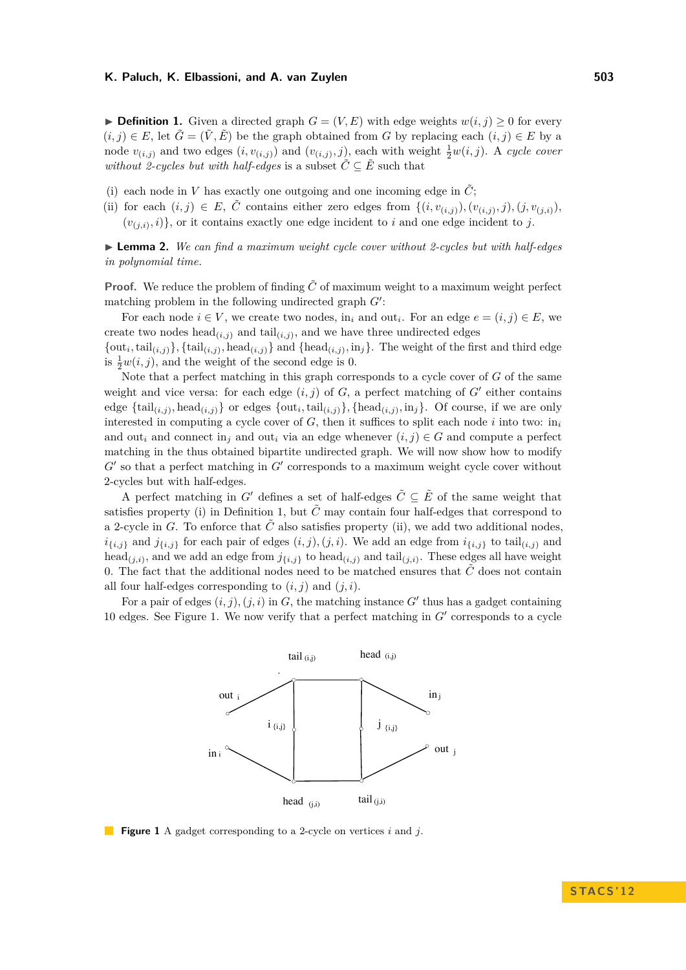#### **K. Paluch, K. Elbassioni, and A. van Zuylen 503**

<span id="page-2-0"></span>▶ **Definition 1.** Given a directed graph  $G = (V, E)$  with edge weights  $w(i, j) \geq 0$  for every  $(i, j) \in E$ , let  $\tilde{G} = (\tilde{V}, \tilde{E})$  be the graph obtained from *G* by replacing each  $(i, j) \in E$  by a node  $v_{(i,j)}$  and two edges  $(i, v_{(i,j)})$  and  $(v_{(i,j)}, j)$ , each with weight  $\frac{1}{2}w(i,j)$ . A *cycle cover without 2-cycles but with half-edges* is a subset  $\tilde{C} \subseteq \tilde{E}$  such that

- (i) each node in *V* has exactly one outgoing and one incoming edge in  $\tilde{C}$ ;
- (ii) for each  $(i, j) \in E$ ,  $\tilde{C}$  contains either zero edges from  $\{(i, v_{(i,j)}), (v_{(i,j)}, j), (j, v_{(j,i)}),\}$  $(v_{(j,i)}, i)$ , or it contains exactly one edge incident to *i* and one edge incident to *j*.

<span id="page-2-2"></span>► **Lemma 2.** *We can find a maximum weight cycle cover without 2-cycles but with half-edges in polynomial time.*

**Proof.** We reduce the problem of finding  $\tilde{C}$  of maximum weight to a maximum weight perfect matching problem in the following undirected graph  $G'$ :

For each node  $i \in V$ , we create two nodes, in<sub>i</sub> and out<sub>i</sub>. For an edge  $e = (i, j) \in E$ , we create two nodes  $head_{(i,j)}$  and tail $_{(i,j)}$ , and we have three undirected edges

 $\{\text{out}_i, \text{tail}_{(i,j)}\}, \{\text{tail}_{(i,j)}, \text{head}_{(i,j)}\}$  and  $\{\text{head}_{(i,j)}, \text{in}_j\}$ . The weight of the first and third edge is  $\frac{1}{2}w(i, j)$ , and the weight of the second edge is 0.

Note that a perfect matching in this graph corresponds to a cycle cover of *G* of the same weight and vice versa: for each edge  $(i, j)$  of  $G$ , a perfect matching of  $G'$  either contains edge  $\{\text{tail}_{(i,j)}, \text{head}_{(i,j)}\}$  or edges  $\{\text{out}_i, \text{tail}_{(i,j)}\}$ ,  $\{\text{head}_{(i,j)}, \text{in}_j\}$ . Of course, if we are only interested in computing a cycle cover of  $G$ , then it suffices to split each node  $i$  into two: in<sub>i</sub> and out<sub>*i*</sub> and connect in<sub>j</sub> and out<sub>*i*</sub> via an edge whenever  $(i, j) \in G$  and compute a perfect matching in the thus obtained bipartite undirected graph. We will now show how to modify  $G'$  so that a perfect matching in  $G'$  corresponds to a maximum weight cycle cover without 2-cycles but with half-edges.

A perfect matching in *G*<sup> $\prime$ </sup> defines a set of half-edges  $\tilde{C} \subseteq \tilde{E}$  of the same weight that satisfies property (i) in Definition [1,](#page-2-0) but  $\tilde{C}$  may contain four half-edges that correspond to a 2-cycle in *G*. To enforce that  $\tilde{C}$  also satisfies property (ii), we add two additional nodes,  $i_{\{i,j\}}$  and  $j_{\{i,j\}}$  for each pair of edges  $(i,j), (j,i)$ . We add an edge from  $i_{\{i,j\}}$  to tail $(i,j)$  and head<sub>(*j,i*)</sub>, and we add an edge from  $j_{\{i,j\}}$  to head<sub>(*i,j*)</sub> and tail<sub>(*j,i*)</sub>. These edges all have weight 0. The fact that the additional nodes need to be matched ensures that  $\tilde{C}$  does not contain all four half-edges corresponding to  $(i, j)$  and  $(j, i)$ .

<span id="page-2-1"></span>For a pair of edges  $(i, j)$ ,  $(j, i)$  in *G*, the matching instance *G'* thus has a gadget containing 10 edges. See Figure [1.](#page-2-1) We now verify that a perfect matching in  $G'$  corresponds to a cycle



**Figure 1** A gadget corresponding to a 2-cycle on vertices *i* and *j*.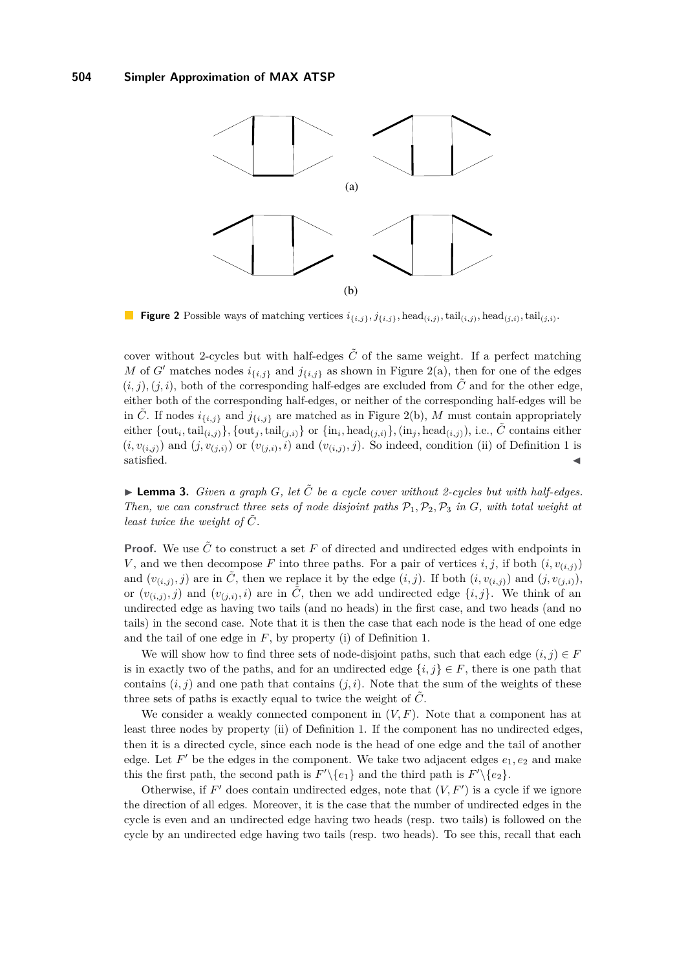<span id="page-3-0"></span>

**Figure 2** Possible ways of matching vertices  $i_{\{i,j\}}$ ,  $j_{\{i,j\}}$ , head $_{(i,j)}$ , tail $_{(i,j)}$ , tail $_{(j,i)}$ .

cover without 2-cycles but with half-edges  $\tilde{C}$  of the same weight. If a perfect matching *M* of *G*<sup> $\prime$ </sup> matches nodes  $i_{\{i,j\}}$  and  $j_{\{i,j\}}$  as shown in Figure [2\(](#page-3-0)a), then for one of the edges  $(i, j), (j, i)$ , both of the corresponding half-edges are excluded from  $\tilde{C}$  and for the other edge, either both of the corresponding half-edges, or neither of the corresponding half-edges will be in *C*. If nodes  $i_{\{i,j\}}$  and  $j_{\{i,j\}}$  are matched as in Figure [2\(](#page-3-0)b), *M* must contain appropriately  $\{\text{out}_i,\text{tail}_{(i,j)}\}$ ,  $\{\text{out}_j,\text{tail}_{(j,i)}\}$  or  $\{\text{in}_i,\text{head}_{(j,i)}\}$ ,  $(\text{in}_j,\text{head}_{(i,j)})$ , i.e.,  $\tilde{C}$  contains either  $(i, v_{(i,j)})$  and  $(j, v_{(j,i)})$  or  $(v_{(j,i)}, i)$  and  $(v_{(i,j)}, j)$ . So indeed, condition (ii) of Definition [1](#page-2-0) is  $s$ atisfied.

<span id="page-3-1"></span> $\blacktriangleright$  **Lemma 3.** *Given a graph G*, let  $\tilde{C}$  *be a cycle cover without 2-cycles but with half-edges. Then, we can construct three sets of node disjoint paths*  $P_1$ *,* $P_2$ *,* $P_3$  *in G, with total weight at least twice the weight of*  $\tilde{C}$ *.* 

**Proof.** We use  $\tilde{C}$  to construct a set  $F$  of directed and undirected edges with endpoints in *V*, and we then decompose *F* into three paths. For a pair of vertices *i, j,* if both  $(i, v_{(i,j)})$ and  $(v_{(i,j)}, j)$  are in  $\tilde{C}$ , then we replace it by the edge  $(i, j)$ . If both  $(i, v_{(i,j)})$  and  $(j, v_{(j,i)})$ , or  $(v_{(i,j)}, j)$  and  $(v_{(j,i)}, i)$  are in  $\tilde{C}$ , then we add undirected edge  $\{i, j\}$ . We think of an undirected edge as having two tails (and no heads) in the first case, and two heads (and no tails) in the second case. Note that it is then the case that each node is the head of one edge and the tail of one edge in *F*, by property (i) of Definition [1.](#page-2-0)

We will show how to find three sets of node-disjoint paths, such that each edge  $(i, j) \in F$ is in exactly two of the paths, and for an undirected edge  $\{i, j\} \in F$ , there is one path that contains  $(i, j)$  and one path that contains  $(j, i)$ . Note that the sum of the weights of these three sets of paths is exactly equal to twice the weight of  $\tilde{C}$ .

We consider a weakly connected component in  $(V, F)$ . Note that a component has at least three nodes by property (ii) of Definition [1.](#page-2-0) If the component has no undirected edges, then it is a directed cycle, since each node is the head of one edge and the tail of another edge. Let  $F'$  be the edges in the component. We take two adjacent edges  $e_1, e_2$  and make this the first path, the second path is  $F'\setminus\{e_1\}$  and the third path is  $F'\setminus\{e_2\}$ .

Otherwise, if  $F'$  does contain undirected edges, note that  $(V, F')$  is a cycle if we ignore the direction of all edges. Moreover, it is the case that the number of undirected edges in the cycle is even and an undirected edge having two heads (resp. two tails) is followed on the cycle by an undirected edge having two tails (resp. two heads). To see this, recall that each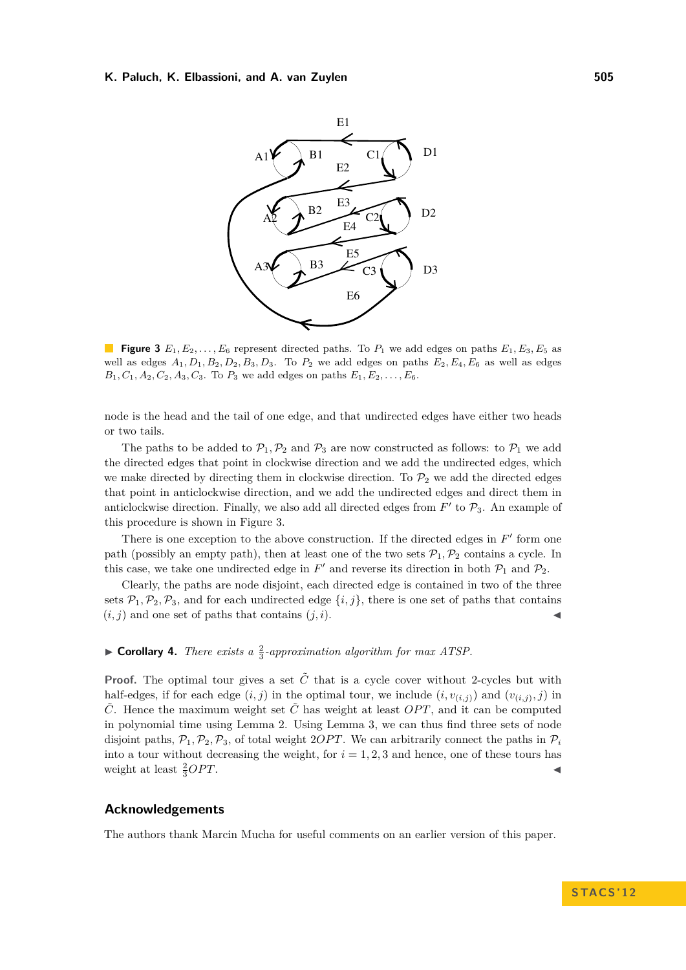#### <span id="page-4-0"></span>**K. Paluch, K. Elbassioni, and A. van Zuylen 505**



**Figure 3**  $E_1, E_2, \ldots, E_6$  represent directed paths. To  $P_1$  we add edges on paths  $E_1, E_3, E_5$  as well as edges  $A_1, D_1, B_2, D_2, B_3, D_3$ . To  $P_2$  we add edges on paths  $E_2, E_4, E_6$  as well as edges  $B_1, C_1, A_2, C_2, A_3, C_3$ . To  $P_3$  we add edges on paths  $E_1, E_2, \ldots, E_6$ .

node is the head and the tail of one edge, and that undirected edges have either two heads or two tails.

The paths to be added to  $\mathcal{P}_1, \mathcal{P}_2$  and  $\mathcal{P}_3$  are now constructed as follows: to  $\mathcal{P}_1$  we add the directed edges that point in clockwise direction and we add the undirected edges, which we make directed by directing them in clockwise direction. To  $\mathcal{P}_2$  we add the directed edges that point in anticlockwise direction, and we add the undirected edges and direct them in anticlockwise direction. Finally, we also add all directed edges from  $F'$  to  $\mathcal{P}_3$ . An example of this procedure is shown in Figure [3.](#page-4-0)

There is one exception to the above construction. If the directed edges in  $F'$  form one path (possibly an empty path), then at least one of the two sets  $\mathcal{P}_1, \mathcal{P}_2$  contains a cycle. In this case, we take one undirected edge in  $F'$  and reverse its direction in both  $\mathcal{P}_1$  and  $\mathcal{P}_2$ .

Clearly, the paths are node disjoint, each directed edge is contained in two of the three sets  $\mathcal{P}_1, \mathcal{P}_2, \mathcal{P}_3$ , and for each undirected edge  $\{i, j\}$ , there is one set of paths that contains  $(i, j)$  and one set of paths that contains  $(j, i)$ .

# **Corollary 4.** *There exists a*  $\frac{2}{3}$ -approximation algorithm for max ATSP.

**Proof.** The optimal tour gives a set  $\tilde{C}$  that is a cycle cover without 2-cycles but with half-edges, if for each edge  $(i, j)$  in the optimal tour, we include  $(i, v_{(i,j)})$  and  $(v_{(i,j)}, j)$  in  $\tilde{C}$ . Hence the maximum weight set  $\tilde{C}$  has weight at least *OPT*, and it can be computed in polynomial time using Lemma [2.](#page-2-2) Using Lemma [3,](#page-3-1) we can thus find three sets of node disjoint paths,  $\mathcal{P}_1, \mathcal{P}_2, \mathcal{P}_3$ , of total weight 2*OPT*. We can arbitrarily connect the paths in  $\mathcal{P}_i$ into a tour without decreasing the weight, for  $i = 1, 2, 3$  and hence, one of these tours has weight at least  $\frac{2}{3}OPT$ .  $\frac{2}{3}OPT.$ 

## **Acknowledgements**

The authors thank Marcin Mucha for useful comments on an earlier version of this paper.